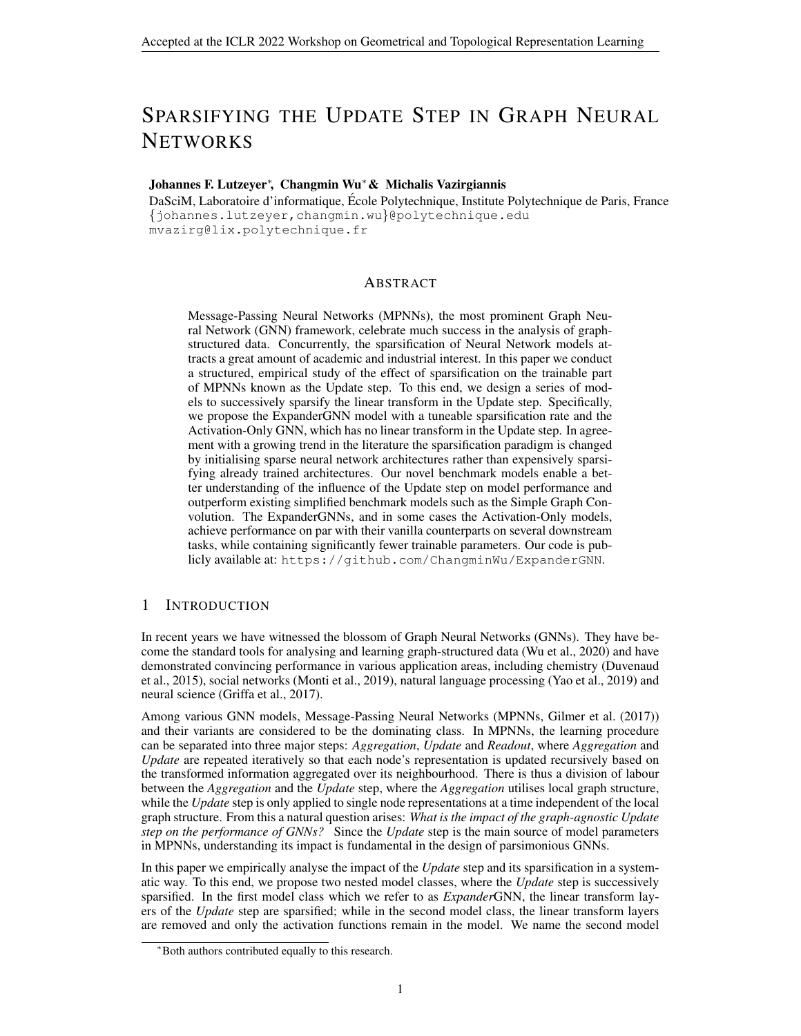# SPARSIFYING THE UPDATE STEP IN GRAPH NEURAL **NETWORKS**

## Johannes F. Lutzeyer<sup>∗</sup> , Changmin Wu∗& Michalis Vazirgiannis

DaSciM, Laboratoire d'informatique, Ecole Polytechnique, Institute Polytechnique de Paris, France ´ {johannes.lutzeyer,changmin.wu}@polytechnique.edu mvazirg@lix.polytechnique.fr

#### ABSTRACT

Message-Passing Neural Networks (MPNNs), the most prominent Graph Neural Network (GNN) framework, celebrate much success in the analysis of graphstructured data. Concurrently, the sparsification of Neural Network models attracts a great amount of academic and industrial interest. In this paper we conduct a structured, empirical study of the effect of sparsification on the trainable part of MPNNs known as the Update step. To this end, we design a series of models to successively sparsify the linear transform in the Update step. Specifically, we propose the ExpanderGNN model with a tuneable sparsification rate and the Activation-Only GNN, which has no linear transform in the Update step. In agreement with a growing trend in the literature the sparsification paradigm is changed by initialising sparse neural network architectures rather than expensively sparsifying already trained architectures. Our novel benchmark models enable a better understanding of the influence of the Update step on model performance and outperform existing simplified benchmark models such as the Simple Graph Convolution. The ExpanderGNNs, and in some cases the Activation-Only models, achieve performance on par with their vanilla counterparts on several downstream tasks, while containing significantly fewer trainable parameters. Our code is publicly available at: <https://github.com/ChangminWu/ExpanderGNN>.

## 1 INTRODUCTION

In recent years we have witnessed the blossom of Graph Neural Networks (GNNs). They have become the standard tools for analysing and learning graph-structured data [\(Wu et al., 2020\)](#page-7-0) and have demonstrated convincing performance in various application areas, including chemistry [\(Duvenaud](#page-5-0) [et al., 2015\)](#page-5-0), social networks [\(Monti et al., 2019\)](#page-6-0), natural language processing [\(Yao et al., 2019\)](#page-7-1) and neural science [\(Griffa et al., 2017\)](#page-5-1).

Among various GNN models, Message-Passing Neural Networks (MPNNs, [Gilmer et al.](#page-5-2) [\(2017\)](#page-5-2)) and their variants are considered to be the dominating class. In MPNNs, the learning procedure can be separated into three major steps: *Aggregation*, *Update* and *Readout*, where *Aggregation* and *Update* are repeated iteratively so that each node's representation is updated recursively based on the transformed information aggregated over its neighbourhood. There is thus a division of labour between the *Aggregation* and the *Update* step, where the *Aggregation* utilises local graph structure, while the *Update* step is only applied to single node representations at a time independent of the local graph structure. From this a natural question arises: *What is the impact of the graph-agnostic Update step on the performance of GNNs?* Since the *Update* step is the main source of model parameters in MPNNs, understanding its impact is fundamental in the design of parsimonious GNNs.

In this paper we empirically analyse the impact of the *Update* step and its sparsification in a systematic way. To this end, we propose two nested model classes, where the *Update* step is successively sparsified. In the first model class which we refer to as *Expander*GNN, the linear transform layers of the *Update* step are sparsified; while in the second model class, the linear transform layers are removed and only the activation functions remain in the model. We name the second model

<sup>∗</sup>Both authors contributed equally to this research.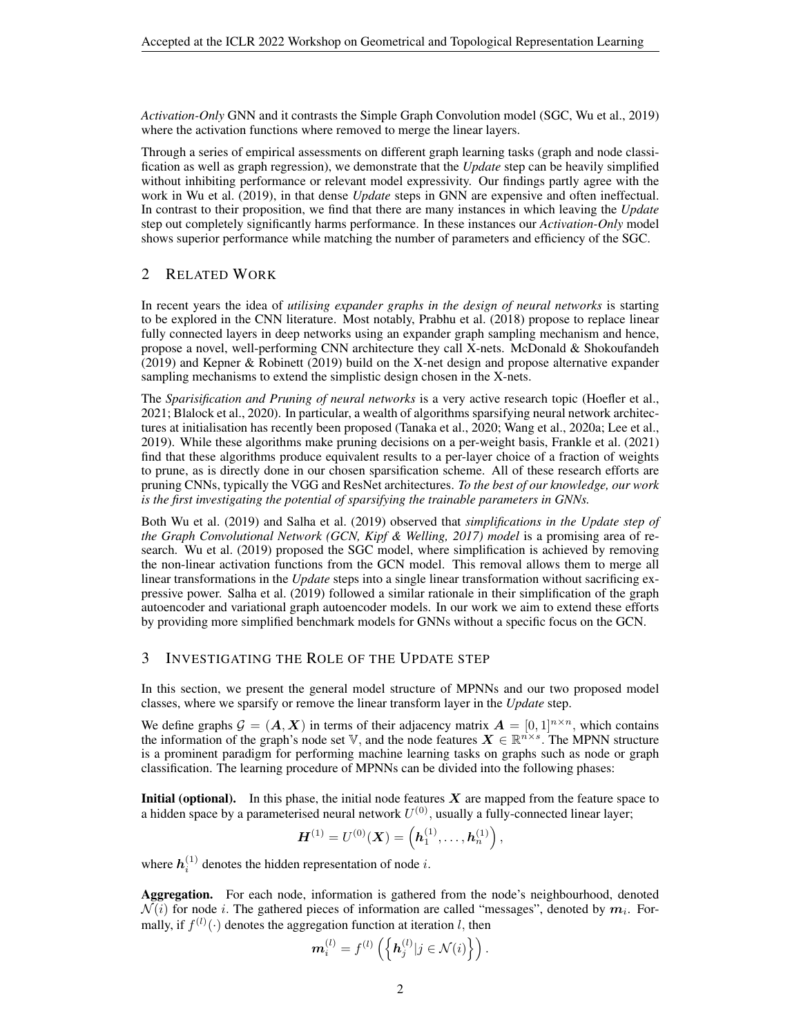*Activation-Only* GNN and it contrasts the Simple Graph Convolution model (SGC, [Wu et al., 2019\)](#page-7-2) where the activation functions where removed to merge the linear layers.

Through a series of empirical assessments on different graph learning tasks (graph and node classification as well as graph regression), we demonstrate that the *Update* step can be heavily simplified without inhibiting performance or relevant model expressivity. Our findings partly agree with the work in [Wu et al.](#page-7-2) [\(2019\)](#page-7-2), in that dense *Update* steps in GNN are expensive and often ineffectual. In contrast to their proposition, we find that there are many instances in which leaving the *Update* step out completely significantly harms performance. In these instances our *Activation-Only* model shows superior performance while matching the number of parameters and efficiency of the SGC.

# 2 RELATED WORK

In recent years the idea of *utilising expander graphs in the design of neural networks* is starting to be explored in the CNN literature. Most notably, [Prabhu et al.](#page-6-1) [\(2018\)](#page-6-1) propose to replace linear fully connected layers in deep networks using an expander graph sampling mechanism and hence, propose a novel, well-performing CNN architecture they call X-nets. [McDonald & Shokoufandeh](#page-6-2) [\(2019\)](#page-6-2) and [Kepner & Robinett](#page-6-3) [\(2019\)](#page-6-3) build on the X-net design and propose alternative expander sampling mechanisms to extend the simplistic design chosen in the X-nets.

The *Sparisification and Pruning of neural networks* is a very active research topic [\(Hoefler et al.,](#page-5-3) [2021;](#page-5-3) [Blalock et al., 2020\)](#page-5-4). In particular, a wealth of algorithms sparsifying neural network architectures at initialisation has recently been proposed [\(Tanaka et al., 2020;](#page-6-4) [Wang et al., 2020a;](#page-6-5) [Lee et al.,](#page-6-6) [2019\)](#page-6-6). While these algorithms make pruning decisions on a per-weight basis, [Frankle et al.](#page-5-5) [\(2021\)](#page-5-5) find that these algorithms produce equivalent results to a per-layer choice of a fraction of weights to prune, as is directly done in our chosen sparsification scheme. All of these research efforts are pruning CNNs, typically the VGG and ResNet architectures. *To the best of our knowledge, our work is the first investigating the potential of sparsifying the trainable parameters in GNNs.*

Both [Wu et al.](#page-7-2) [\(2019\)](#page-7-2) and [Salha et al.](#page-6-7) [\(2019\)](#page-6-7) observed that *simplifications in the Update step of the Graph Convolutional Network (GCN, [Kipf & Welling, 2017\)](#page-6-8) model* is a promising area of research. [Wu et al.](#page-7-2) [\(2019\)](#page-7-2) proposed the SGC model, where simplification is achieved by removing the non-linear activation functions from the GCN model. This removal allows them to merge all linear transformations in the *Update* steps into a single linear transformation without sacrificing expressive power. [Salha et al.](#page-6-7) [\(2019\)](#page-6-7) followed a similar rationale in their simplification of the graph autoencoder and variational graph autoencoder models. In our work we aim to extend these efforts by providing more simplified benchmark models for GNNs without a specific focus on the GCN.

## <span id="page-1-0"></span>3 INVESTIGATING THE ROLE OF THE UPDATE STEP

In this section, we present the general model structure of MPNNs and our two proposed model classes, where we sparsify or remove the linear transform layer in the *Update* step.

We define graphs  $\mathcal{G} = (\mathbf{A}, \mathbf{X})$  in terms of their adjacency matrix  $\mathbf{A} = [0, 1]^{n \times n}$ , which contains the information of the graph's node set V, and the node features  $X \in \mathbb{R}^{n \times s}$ . The MPNN structure is a prominent paradigm for performing machine learning tasks on graphs such as node or graph classification. The learning procedure of MPNNs can be divided into the following phases:

**Initial (optional).** In this phase, the initial node features  $X$  are mapped from the feature space to a hidden space by a parameterised neural network  $U^{(0)}$ , usually a fully-connected linear layer;

$$
\boldsymbol{H}^{(1)} = U^{(0)}(\boldsymbol{X}) = \left(\boldsymbol{h}^{(1)}_1, \ldots, \boldsymbol{h}^{(1)}_n\right),
$$

where  $h_i^{(1)}$  denotes the hidden representation of node i.

m

Aggregation. For each node, information is gathered from the node's neighbourhood, denoted  $\mathcal{N}(i)$  for node i. The gathered pieces of information are called "messages", denoted by  $\bm{m}_i$ . Formally, if  $f^{(l)}(\cdot)$  denotes the aggregation function at iteration l, then

$$
\mathbf{a}_{i}^{(l)}=f^{(l)}\left(\left\{\mathbf{h}_{j}^{(l)}|j\in\mathcal{N}(i)\right\}\right).
$$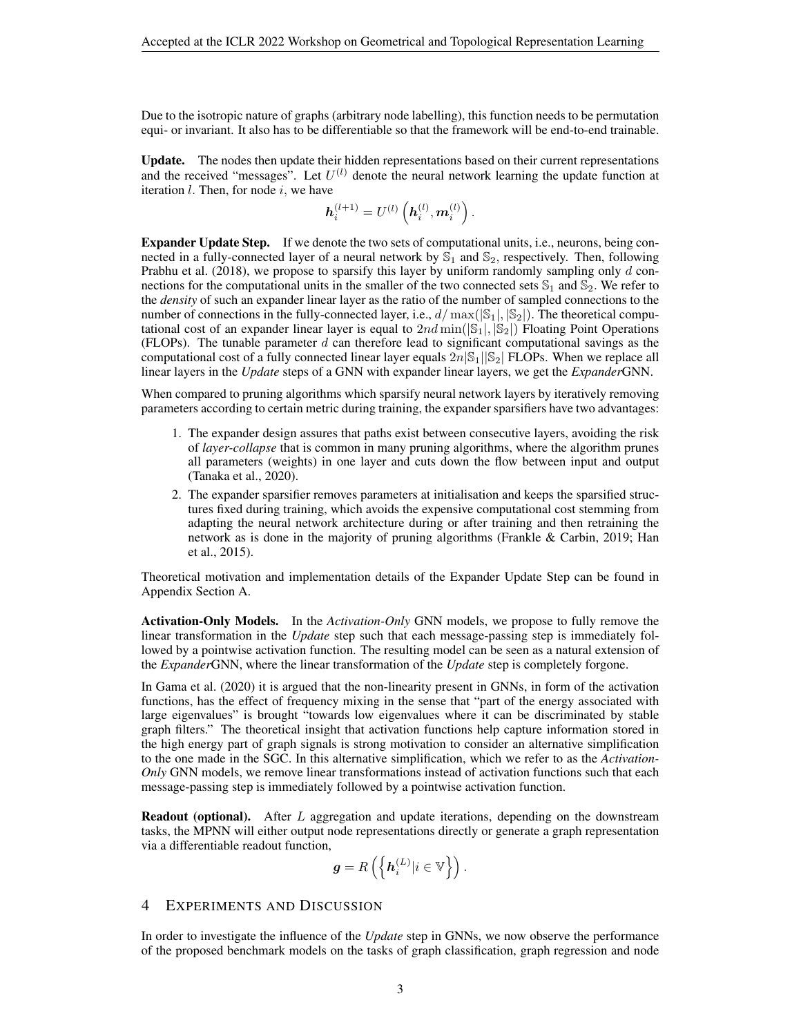Due to the isotropic nature of graphs (arbitrary node labelling), this function needs to be permutation equi- or invariant. It also has to be differentiable so that the framework will be end-to-end trainable.

Update. The nodes then update their hidden representations based on their current representations and the received "messages". Let  $U^{(l)}$  denote the neural network learning the update function at iteration  $l$ . Then, for node  $i$ , we have

$$
\bm{h}_i^{(l+1)} = U^{(l)}\left(\bm{h}_i^{(l)}, \bm{m}_i^{(l)}\right).
$$

Expander Update Step. If we denote the two sets of computational units, i.e., neurons, being connected in a fully-connected layer of a neural network by  $\mathbb{S}_1$  and  $\mathbb{S}_2$ , respectively. Then, following [Prabhu et al.](#page-6-1) [\(2018\)](#page-6-1), we propose to sparsify this layer by uniform randomly sampling only  $d$  connections for the computational units in the smaller of the two connected sets  $\mathbb{S}_1$  and  $\mathbb{S}_2$ . We refer to the *density* of such an expander linear layer as the ratio of the number of sampled connections to the number of connections in the fully-connected layer, i.e.,  $d/\max(|\mathbb{S}_1|, |\mathbb{S}_2|)$ . The theoretical computational cost of an expander linear layer is equal to  $2nd \min(|\mathcal{S}_1|, |\mathcal{S}_2|)$  Floating Point Operations (FLOPs). The tunable parameter  $d$  can therefore lead to significant computational savings as the computational cost of a fully connected linear layer equals  $2n|S_1||S_2|$  FLOPs. When we replace all linear layers in the *Update* steps of a GNN with expander linear layers, we get the *Expander*GNN.

When compared to pruning algorithms which sparsify neural network layers by iteratively removing parameters according to certain metric during training, the expander sparsifiers have two advantages:

- 1. The expander design assures that paths exist between consecutive layers, avoiding the risk of *layer-collapse* that is common in many pruning algorithms, where the algorithm prunes all parameters (weights) in one layer and cuts down the flow between input and output [\(Tanaka et al., 2020\)](#page-6-4).
- 2. The expander sparsifier removes parameters at initialisation and keeps the sparsified structures fixed during training, which avoids the expensive computational cost stemming from adapting the neural network architecture during or after training and then retraining the network as is done in the majority of pruning algorithms [\(Frankle & Carbin, 2019;](#page-5-6) [Han](#page-5-7) [et al., 2015\)](#page-5-7).

Theoretical motivation and implementation details of the Expander Update Step can be found in Appendix Section [A.](#page-8-0)

Activation-Only Models. In the *Activation-Only* GNN models, we propose to fully remove the linear transformation in the *Update* step such that each message-passing step is immediately followed by a pointwise activation function. The resulting model can be seen as a natural extension of the *Expander*GNN, where the linear transformation of the *Update* step is completely forgone.

In [Gama et al.](#page-5-8) [\(2020\)](#page-5-8) it is argued that the non-linearity present in GNNs, in form of the activation functions, has the effect of frequency mixing in the sense that "part of the energy associated with large eigenvalues" is brought "towards low eigenvalues where it can be discriminated by stable graph filters." The theoretical insight that activation functions help capture information stored in the high energy part of graph signals is strong motivation to consider an alternative simplification to the one made in the SGC. In this alternative simplification, which we refer to as the *Activation-Only* GNN models, we remove linear transformations instead of activation functions such that each message-passing step is immediately followed by a pointwise activation function.

**Readout (optional).** After L aggregation and update iterations, depending on the downstream tasks, the MPNN will either output node representations directly or generate a graph representation via a differentiable readout function,

$$
\mathbf{g}=R\left(\left\{\mathbf{h}_i^{(L)}|i\in\mathbb{V}\right\}\right).
$$

## 4 EXPERIMENTS AND DISCUSSION

In order to investigate the influence of the *Update* step in GNNs, we now observe the performance of the proposed benchmark models on the tasks of graph classification, graph regression and node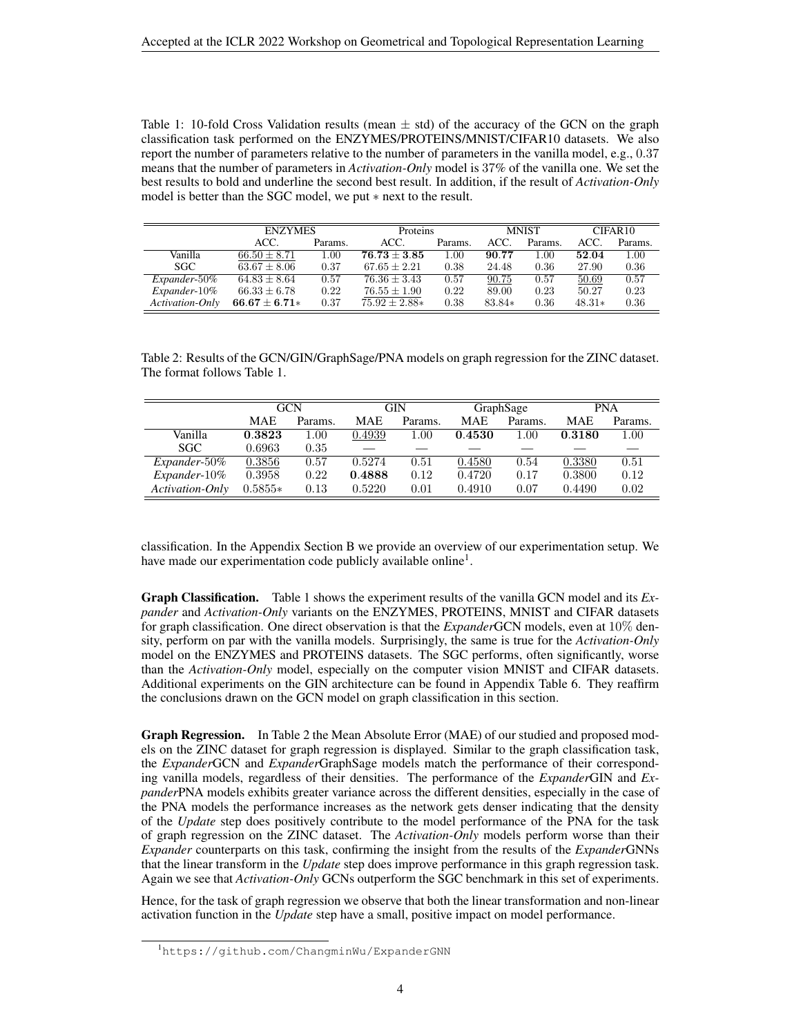<span id="page-3-0"></span>Table 1: 10-fold Cross Validation results (mean  $\pm$  std) of the accuracy of the GCN on the graph classification task performed on the ENZYMES/PROTEINS/MNIST/CIFAR10 datasets. We also report the number of parameters relative to the number of parameters in the vanilla model, e.g., 0.37 means that the number of parameters in *Activation-Only* model is 37% of the vanilla one. We set the best results to bold and underline the second best result. In addition, if the result of *Activation-Only* model is better than the SGC model, we put ∗ next to the result.

|                 | <b>ENZYMES</b>    |         | Proteins          |         | <b>MNIST</b> |         | CIFAR10  |         |
|-----------------|-------------------|---------|-------------------|---------|--------------|---------|----------|---------|
|                 | ACC.              | Params. | ACC.              | Params. | ACC.         | Params. | ACC.     | Params. |
| Vanilla         | $66.50 + 8.71$    | 1.00    | $76.73 + 3.85$    | 1.00    | 90.77        | 1.00    | 52.04    | 1.00    |
| SGC.            | $63.67 \pm 8.06$  | 0.37    | $67.65 + 2.21$    | 0.38    | 24.48        | 0.36    | 27.90    | 0.36    |
| Expander-50%    | $64.83 \pm 8.64$  | 0.57    | $76.36 + 3.43$    | 0.57    | 90.75        | 0.57    | 50.69    | 0.57    |
| Expander-10%    | $66.33 \pm 6.78$  | 0.22    | $76.55 \pm 1.90$  | 0.22    | 89.00        | 0.23    | 50.27    | 0.23    |
| Activation-Only | $66.67 \pm 6.71*$ | 0.37    | $75.92 \pm 2.88*$ | 0.38    | 83.84*       | 0.36    | $48.31*$ | 0.36    |

<span id="page-3-2"></span>Table 2: Results of the GCN/GIN/GraphSage/PNA models on graph regression for the ZINC dataset. The format follows Table [1.](#page-3-0)

|                 | <b>GCN</b> |          |            | GIN      |            | GraphSage |            | <b>PNA</b> |
|-----------------|------------|----------|------------|----------|------------|-----------|------------|------------|
|                 | MAE        | Params.  | <b>MAE</b> | Params.  | <b>MAE</b> | Params.   | <b>MAE</b> | Params.    |
| Vanilla         | 0.3823     | $1.00\,$ | 0.4939     | $1.00\,$ | 0.4530     | $1.00\,$  | 0.3180     | 1.00       |
| <b>SGC</b>      | 0.6963     | 0.35     |            |          |            |           |            |            |
| Expander-50%    | 0.3856     | 0.57     | 0.5274     | 0.51     | 0.4580     | 0.54      | 0.3380     | 0.51       |
| $Expander-10\%$ | 0.3958     | 0.22     | 0.4888     | 0.12     | 0.4720     | 0.17      | 0.3800     | 0.12       |
| Activation-Only | $0.5855*$  | 0.13     | 0.5220     | 0.01     | 0.4910     | 0.07      | 0.4490     | 0.02       |

classification. In the Appendix Section [B](#page-8-1) we provide an overview of our experimentation setup. We have made our experimentation code publicly available online<sup>[1](#page-3-1)</sup>.

Graph Classification. Table [1](#page-3-0) shows the experiment results of the vanilla GCN model and its *Expander* and *Activation-Only* variants on the ENZYMES, PROTEINS, MNIST and CIFAR datasets for graph classification. One direct observation is that the *Expander*GCN models, even at 10% density, perform on par with the vanilla models. Surprisingly, the same is true for the *Activation-Only* model on the ENZYMES and PROTEINS datasets. The SGC performs, often significantly, worse than the *Activation-Only* model, especially on the computer vision MNIST and CIFAR datasets. Additional experiments on the GIN architecture can be found in Appendix Table [6.](#page-10-0) They reaffirm the conclusions drawn on the GCN model on graph classification in this section.

Graph Regression. In Table [2](#page-3-2) the Mean Absolute Error (MAE) of our studied and proposed models on the ZINC dataset for graph regression is displayed. Similar to the graph classification task, the *Expander*GCN and *Expander*GraphSage models match the performance of their corresponding vanilla models, regardless of their densities. The performance of the *Expander*GIN and *Expander*PNA models exhibits greater variance across the different densities, especially in the case of the PNA models the performance increases as the network gets denser indicating that the density of the *Update* step does positively contribute to the model performance of the PNA for the task of graph regression on the ZINC dataset. The *Activation-Only* models perform worse than their *Expander* counterparts on this task, confirming the insight from the results of the *Expander*GNNs that the linear transform in the *Update* step does improve performance in this graph regression task. Again we see that *Activation-Only* GCNs outperform the SGC benchmark in this set of experiments.

Hence, for the task of graph regression we observe that both the linear transformation and non-linear activation function in the *Update* step have a small, positive impact on model performance.

<span id="page-3-1"></span><sup>1</sup><https://github.com/ChangminWu/ExpanderGNN>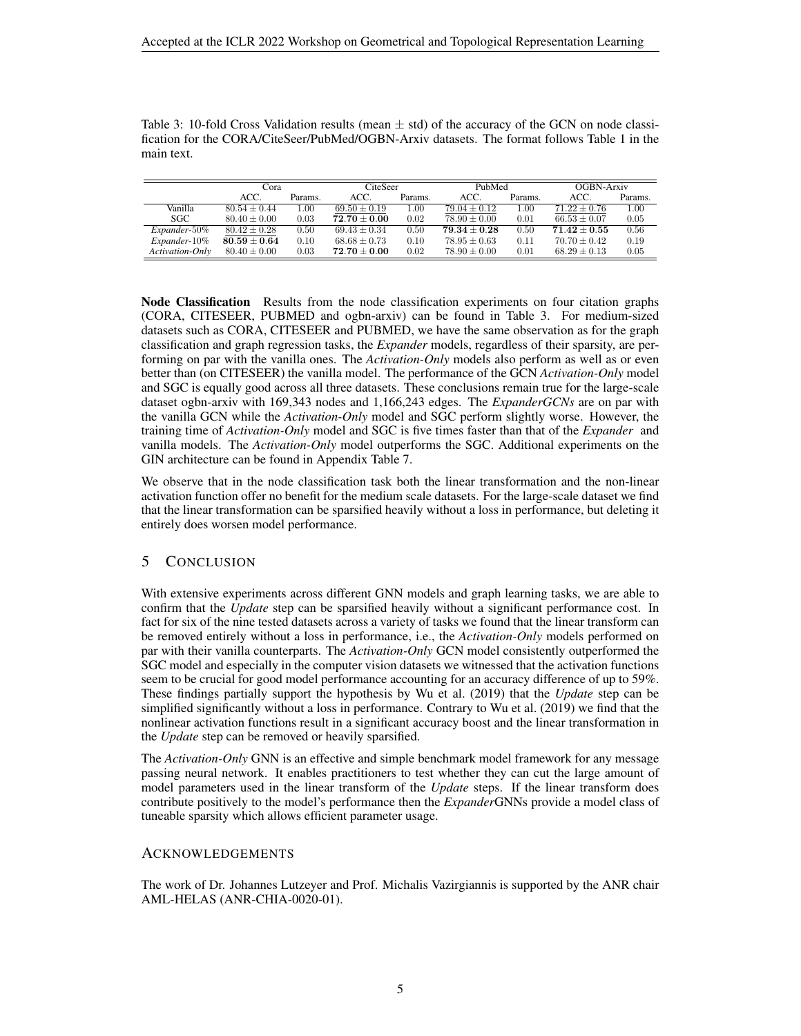<span id="page-4-0"></span>Table 3: 10-fold Cross Validation results (mean  $\pm$  std) of the accuracy of the GCN on node classification for the CORA/CiteSeer/PubMed/OGBN-Arxiv datasets. The format follows Table [1](#page-3-0) in the main text.

|                        | Cora             |          | CiteSeer         |          | PubMed           |         | OGBN-Arxiv       |         |
|------------------------|------------------|----------|------------------|----------|------------------|---------|------------------|---------|
|                        | ACC.             | Params.  | ACC.             | Params.  | ACC.             | Params. | ACC.             | Params. |
| Vanilla                | $80.54 + 0.44$   | $1.00\,$ | $69.50 \pm 0.19$ | $1.00\,$ | $79.04 \pm 0.12$ | 1.00    | $71.22 + 0.76$   | 1.00    |
| SGC.                   | $80.40 + 0.00$   | 0.03     | $72.70 + 0.00$   | 0.02     | $78.90 + 0.00$   | 0.01    | $66.53 \pm 0.07$ | 0.05    |
| Expander-50%           | $80.42 \pm 0.28$ | 0.50     | $69.43 \pm 0.34$ | 0.50     | $79.34 + 0.28$   | 0.50    | $71.42 + 0.55$   | 0.56    |
| Expander-10%           | $80.59 \pm 0.64$ | 0.10     | $68.68 \pm 0.73$ | 0.10     | $78.95 \pm 0.63$ | 0.11    | $70.70 \pm 0.42$ | 0.19    |
| <b>Activation-Only</b> | $80.40 \pm 0.00$ | 0.03     | $72.70 \pm 0.00$ | 0.02     | $78.90 \pm 0.00$ | 0.01    | $68.29 \pm 0.13$ | 0.05    |

Node Classification Results from the node classification experiments on four citation graphs (CORA, CITESEER, PUBMED and ogbn-arxiv) can be found in Table [3.](#page-4-0) For medium-sized datasets such as CORA, CITESEER and PUBMED, we have the same observation as for the graph classification and graph regression tasks, the *Expander* models, regardless of their sparsity, are performing on par with the vanilla ones. The *Activation-Only* models also perform as well as or even better than (on CITESEER) the vanilla model. The performance of the GCN *Activation-Only* model and SGC is equally good across all three datasets. These conclusions remain true for the large-scale dataset ogbn-arxiv with 169,343 nodes and 1,166,243 edges. The *ExpanderGCNs* are on par with the vanilla GCN while the *Activation-Only* model and SGC perform slightly worse. However, the training time of *Activation-Only* model and SGC is five times faster than that of the *Expander* and vanilla models. The *Activation-Only* model outperforms the SGC. Additional experiments on the GIN architecture can be found in Appendix Table [7.](#page-10-1)

We observe that in the node classification task both the linear transformation and the non-linear activation function offer no benefit for the medium scale datasets. For the large-scale dataset we find that the linear transformation can be sparsified heavily without a loss in performance, but deleting it entirely does worsen model performance.

## 5 CONCLUSION

With extensive experiments across different GNN models and graph learning tasks, we are able to confirm that the *Update* step can be sparsified heavily without a significant performance cost. In fact for six of the nine tested datasets across a variety of tasks we found that the linear transform can be removed entirely without a loss in performance, i.e., the *Activation-Only* models performed on par with their vanilla counterparts. The *Activation-Only* GCN model consistently outperformed the SGC model and especially in the computer vision datasets we witnessed that the activation functions seem to be crucial for good model performance accounting for an accuracy difference of up to 59%. These findings partially support the hypothesis by [Wu et al.](#page-7-2) [\(2019\)](#page-7-2) that the *Update* step can be simplified significantly without a loss in performance. Contrary to [Wu et al.](#page-7-2) [\(2019\)](#page-7-2) we find that the nonlinear activation functions result in a significant accuracy boost and the linear transformation in the *Update* step can be removed or heavily sparsified.

The *Activation-Only* GNN is an effective and simple benchmark model framework for any message passing neural network. It enables practitioners to test whether they can cut the large amount of model parameters used in the linear transform of the *Update* steps. If the linear transform does contribute positively to the model's performance then the *Expander*GNNs provide a model class of tuneable sparsity which allows efficient parameter usage.

### ACKNOWLEDGEMENTS

The work of Dr. Johannes Lutzeyer and Prof. Michalis Vazirgiannis is supported by the ANR chair AML-HELAS (ANR-CHIA-0020-01).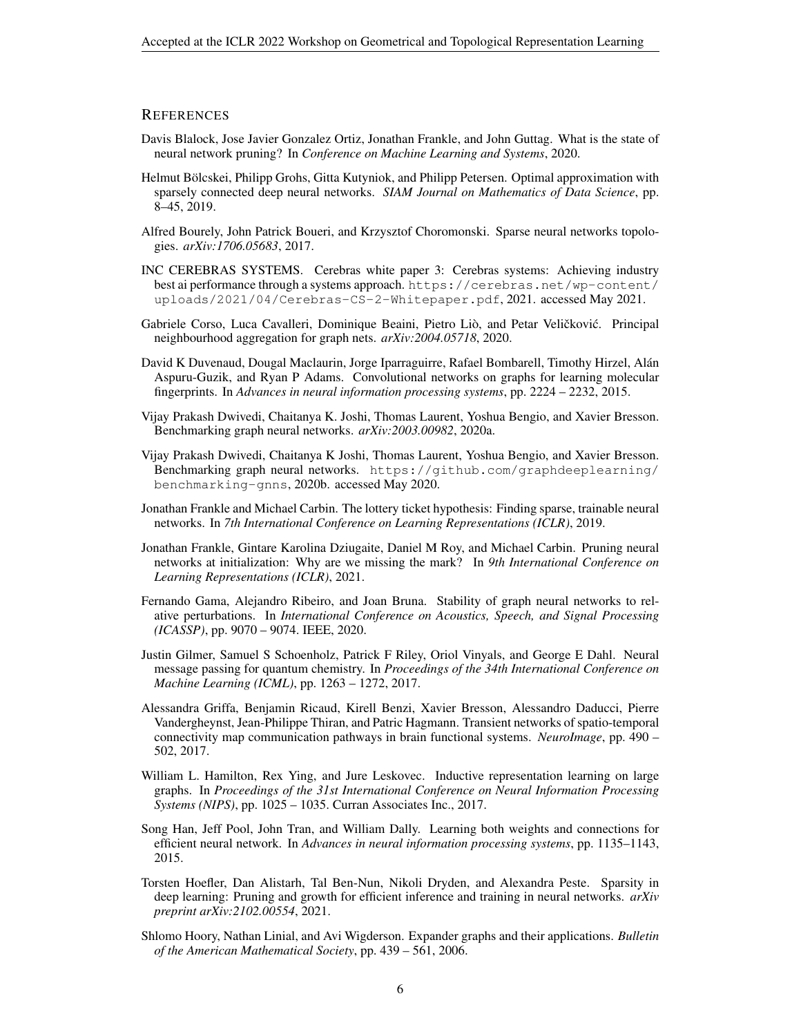#### **REFERENCES**

- <span id="page-5-4"></span>Davis Blalock, Jose Javier Gonzalez Ortiz, Jonathan Frankle, and John Guttag. What is the state of neural network pruning? In *Conference on Machine Learning and Systems*, 2020.
- <span id="page-5-10"></span>Helmut Bölcskei, Philipp Grohs, Gitta Kutyniok, and Philipp Petersen. Optimal approximation with sparsely connected deep neural networks. *SIAM Journal on Mathematics of Data Science*, pp. 8–45, 2019.
- <span id="page-5-11"></span>Alfred Bourely, John Patrick Boueri, and Krzysztof Choromonski. Sparse neural networks topologies. *arXiv:1706.05683*, 2017.
- <span id="page-5-12"></span>INC CEREBRAS SYSTEMS. Cerebras white paper 3: Cerebras systems: Achieving industry best ai performance through a systems approach. [https://cerebras.net/wp-content/](https://cerebras.net/wp-content/uploads/2021/04/Cerebras-CS-2-Whitepaper.pdf) [uploads/2021/04/Cerebras-CS-2-Whitepaper.pdf](https://cerebras.net/wp-content/uploads/2021/04/Cerebras-CS-2-Whitepaper.pdf), 2021. accessed May 2021.
- <span id="page-5-14"></span>Gabriele Corso, Luca Cavalleri, Dominique Beaini, Pietro Liò, and Petar Veličković. Principal neighbourhood aggregation for graph nets. *arXiv:2004.05718*, 2020.
- <span id="page-5-0"></span>David K Duvenaud, Dougal Maclaurin, Jorge Iparraguirre, Rafael Bombarell, Timothy Hirzel, Alan´ Aspuru-Guzik, and Ryan P Adams. Convolutional networks on graphs for learning molecular fingerprints. In *Advances in neural information processing systems*, pp. 2224 – 2232, 2015.
- <span id="page-5-15"></span>Vijay Prakash Dwivedi, Chaitanya K. Joshi, Thomas Laurent, Yoshua Bengio, and Xavier Bresson. Benchmarking graph neural networks. *arXiv:2003.00982*, 2020a.
- <span id="page-5-16"></span>Vijay Prakash Dwivedi, Chaitanya K Joshi, Thomas Laurent, Yoshua Bengio, and Xavier Bresson. Benchmarking graph neural networks. [https://github.com/graphdeeplearning/](https://github.com/graphdeeplearning/benchmarking-gnns) [benchmarking-gnns](https://github.com/graphdeeplearning/benchmarking-gnns), 2020b. accessed May 2020.
- <span id="page-5-6"></span>Jonathan Frankle and Michael Carbin. The lottery ticket hypothesis: Finding sparse, trainable neural networks. In *7th International Conference on Learning Representations (ICLR)*, 2019.
- <span id="page-5-5"></span>Jonathan Frankle, Gintare Karolina Dziugaite, Daniel M Roy, and Michael Carbin. Pruning neural networks at initialization: Why are we missing the mark? In *9th International Conference on Learning Representations (ICLR)*, 2021.
- <span id="page-5-8"></span>Fernando Gama, Alejandro Ribeiro, and Joan Bruna. Stability of graph neural networks to relative perturbations. In *International Conference on Acoustics, Speech, and Signal Processing (ICASSP)*, pp. 9070 – 9074. IEEE, 2020.
- <span id="page-5-2"></span>Justin Gilmer, Samuel S Schoenholz, Patrick F Riley, Oriol Vinyals, and George E Dahl. Neural message passing for quantum chemistry. In *Proceedings of the 34th International Conference on Machine Learning (ICML)*, pp. 1263 – 1272, 2017.
- <span id="page-5-1"></span>Alessandra Griffa, Benjamin Ricaud, Kirell Benzi, Xavier Bresson, Alessandro Daducci, Pierre Vandergheynst, Jean-Philippe Thiran, and Patric Hagmann. Transient networks of spatio-temporal connectivity map communication pathways in brain functional systems. *NeuroImage*, pp. 490 – 502, 2017.
- <span id="page-5-13"></span>William L. Hamilton, Rex Ying, and Jure Leskovec. Inductive representation learning on large graphs. In *Proceedings of the 31st International Conference on Neural Information Processing Systems (NIPS)*, pp. 1025 – 1035. Curran Associates Inc., 2017.
- <span id="page-5-7"></span>Song Han, Jeff Pool, John Tran, and William Dally. Learning both weights and connections for efficient neural network. In *Advances in neural information processing systems*, pp. 1135–1143, 2015.
- <span id="page-5-3"></span>Torsten Hoefler, Dan Alistarh, Tal Ben-Nun, Nikoli Dryden, and Alexandra Peste. Sparsity in deep learning: Pruning and growth for efficient inference and training in neural networks. *arXiv preprint arXiv:2102.00554*, 2021.
- <span id="page-5-9"></span>Shlomo Hoory, Nathan Linial, and Avi Wigderson. Expander graphs and their applications. *Bulletin of the American Mathematical Society*, pp. 439 – 561, 2006.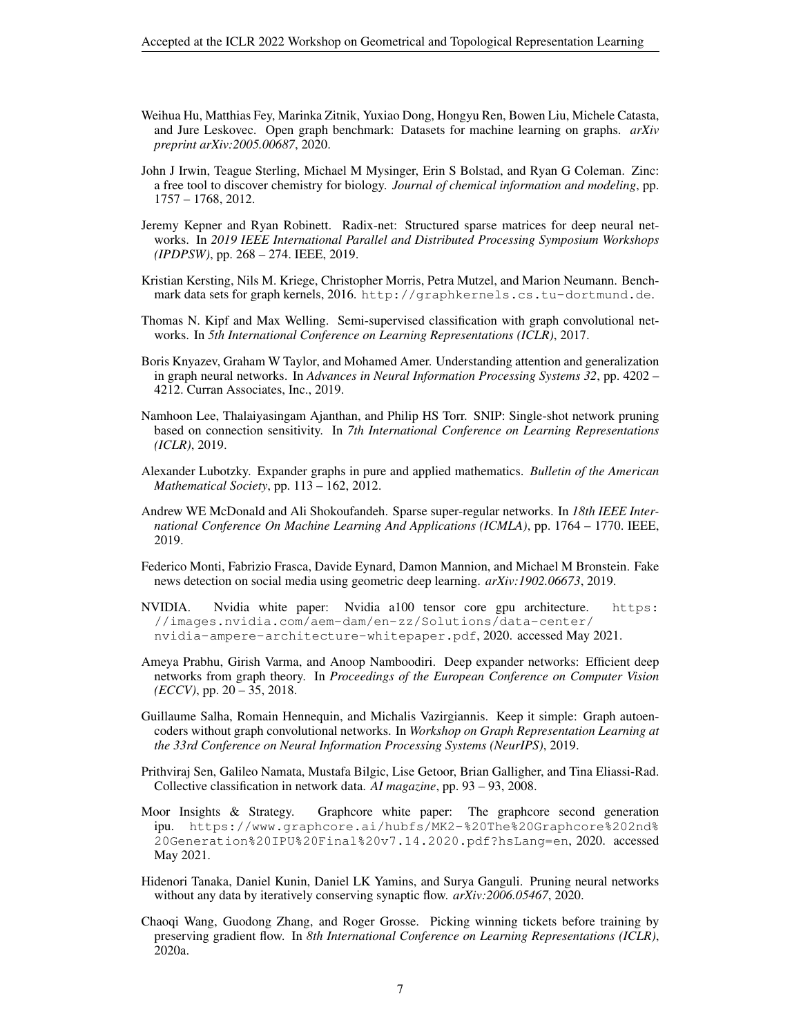- <span id="page-6-16"></span>Weihua Hu, Matthias Fey, Marinka Zitnik, Yuxiao Dong, Hongyu Ren, Bowen Liu, Michele Catasta, and Jure Leskovec. Open graph benchmark: Datasets for machine learning on graphs. *arXiv preprint arXiv:2005.00687*, 2020.
- <span id="page-6-14"></span>John J Irwin, Teague Sterling, Michael M Mysinger, Erin S Bolstad, and Ryan G Coleman. Zinc: a free tool to discover chemistry for biology. *Journal of chemical information and modeling*, pp. 1757 – 1768, 2012.
- <span id="page-6-3"></span>Jeremy Kepner and Ryan Robinett. Radix-net: Structured sparse matrices for deep neural networks. In *2019 IEEE International Parallel and Distributed Processing Symposium Workshops (IPDPSW)*, pp. 268 – 274. IEEE, 2019.
- <span id="page-6-12"></span>Kristian Kersting, Nils M. Kriege, Christopher Morris, Petra Mutzel, and Marion Neumann. Benchmark data sets for graph kernels, 2016. <http://graphkernels.cs.tu-dortmund.de>.
- <span id="page-6-8"></span>Thomas N. Kipf and Max Welling. Semi-supervised classification with graph convolutional networks. In *5th International Conference on Learning Representations (ICLR)*, 2017.
- <span id="page-6-13"></span>Boris Knyazev, Graham W Taylor, and Mohamed Amer. Understanding attention and generalization in graph neural networks. In *Advances in Neural Information Processing Systems 32*, pp. 4202 – 4212. Curran Associates, Inc., 2019.
- <span id="page-6-6"></span>Namhoon Lee, Thalaiyasingam Ajanthan, and Philip HS Torr. SNIP: Single-shot network pruning based on connection sensitivity. In *7th International Conference on Learning Representations (ICLR)*, 2019.
- <span id="page-6-9"></span>Alexander Lubotzky. Expander graphs in pure and applied mathematics. *Bulletin of the American Mathematical Society*, pp. 113 – 162, 2012.
- <span id="page-6-2"></span>Andrew WE McDonald and Ali Shokoufandeh. Sparse super-regular networks. In *18th IEEE International Conference On Machine Learning And Applications (ICMLA)*, pp. 1764 – 1770. IEEE, 2019.
- <span id="page-6-0"></span>Federico Monti, Fabrizio Frasca, Davide Eynard, Damon Mannion, and Michael M Bronstein. Fake news detection on social media using geometric deep learning. *arXiv:1902.06673*, 2019.
- <span id="page-6-11"></span>NVIDIA. Nvidia white paper: Nvidia a100 tensor core gpu architecture. [https:](https://images.nvidia.com/aem-dam/en-zz/Solutions/data-center/nvidia-ampere-architecture-whitepaper.pdf) [//images.nvidia.com/aem-dam/en-zz/Solutions/data-center/](https://images.nvidia.com/aem-dam/en-zz/Solutions/data-center/nvidia-ampere-architecture-whitepaper.pdf) [nvidia-ampere-architecture-whitepaper.pdf](https://images.nvidia.com/aem-dam/en-zz/Solutions/data-center/nvidia-ampere-architecture-whitepaper.pdf), 2020. accessed May 2021.
- <span id="page-6-1"></span>Ameya Prabhu, Girish Varma, and Anoop Namboodiri. Deep expander networks: Efficient deep networks from graph theory. In *Proceedings of the European Conference on Computer Vision (ECCV)*, pp. 20 – 35, 2018.
- <span id="page-6-7"></span>Guillaume Salha, Romain Hennequin, and Michalis Vazirgiannis. Keep it simple: Graph autoencoders without graph convolutional networks. In *Workshop on Graph Representation Learning at the 33rd Conference on Neural Information Processing Systems (NeurIPS)*, 2019.
- <span id="page-6-15"></span>Prithviraj Sen, Galileo Namata, Mustafa Bilgic, Lise Getoor, Brian Galligher, and Tina Eliassi-Rad. Collective classification in network data. *AI magazine*, pp. 93 – 93, 2008.
- <span id="page-6-10"></span>Moor Insights & Strategy. Graphcore white paper: The graphcore second generation ipu. [https://www.graphcore.ai/hubfs/MK2-%20The%20Graphcore%202nd%](https://www.graphcore.ai/hubfs/MK2-%20The%20Graphcore%202nd%20Generation%20IPU%20Final%20v7.14.2020.pdf?hsLang=en) [20Generation%20IPU%20Final%20v7.14.2020.pdf?hsLang=en](https://www.graphcore.ai/hubfs/MK2-%20The%20Graphcore%202nd%20Generation%20IPU%20Final%20v7.14.2020.pdf?hsLang=en), 2020. accessed May 2021.
- <span id="page-6-4"></span>Hidenori Tanaka, Daniel Kunin, Daniel LK Yamins, and Surya Ganguli. Pruning neural networks without any data by iteratively conserving synaptic flow. *arXiv:2006.05467*, 2020.
- <span id="page-6-5"></span>Chaoqi Wang, Guodong Zhang, and Roger Grosse. Picking winning tickets before training by preserving gradient flow. In *8th International Conference on Learning Representations (ICLR)*, 2020a.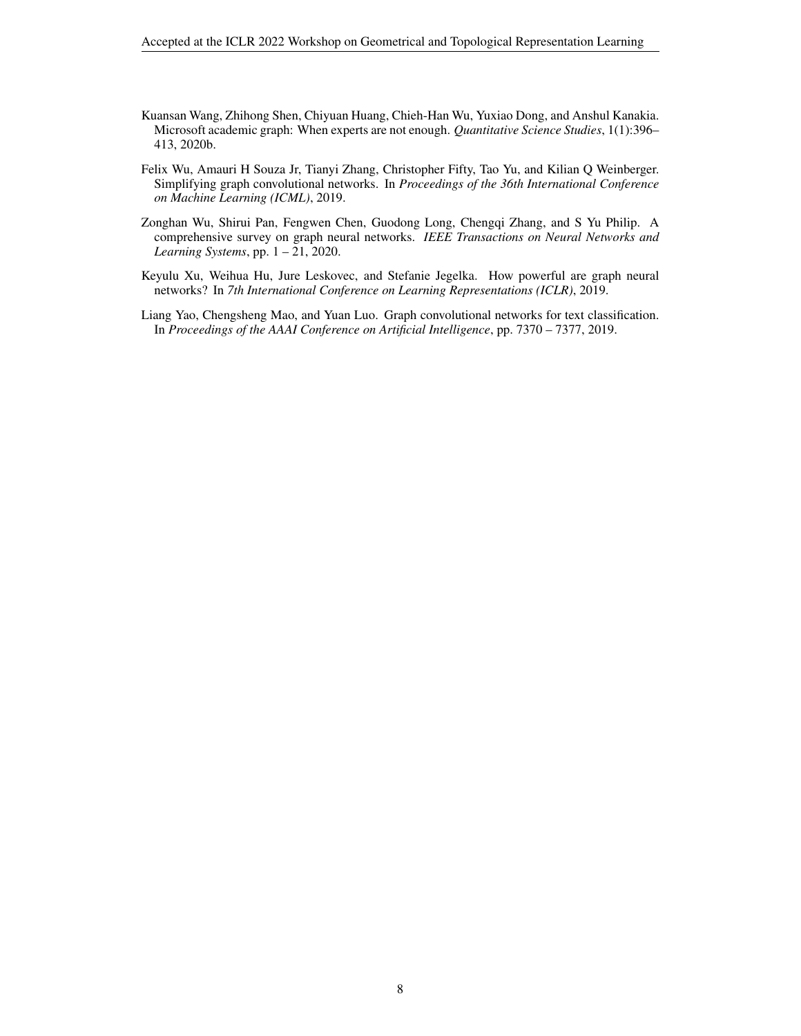- <span id="page-7-4"></span>Kuansan Wang, Zhihong Shen, Chiyuan Huang, Chieh-Han Wu, Yuxiao Dong, and Anshul Kanakia. Microsoft academic graph: When experts are not enough. *Quantitative Science Studies*, 1(1):396– 413, 2020b.
- <span id="page-7-2"></span>Felix Wu, Amauri H Souza Jr, Tianyi Zhang, Christopher Fifty, Tao Yu, and Kilian Q Weinberger. Simplifying graph convolutional networks. In *Proceedings of the 36th International Conference on Machine Learning (ICML)*, 2019.
- <span id="page-7-0"></span>Zonghan Wu, Shirui Pan, Fengwen Chen, Guodong Long, Chengqi Zhang, and S Yu Philip. A comprehensive survey on graph neural networks. *IEEE Transactions on Neural Networks and Learning Systems*, pp. 1 – 21, 2020.
- <span id="page-7-3"></span>Keyulu Xu, Weihua Hu, Jure Leskovec, and Stefanie Jegelka. How powerful are graph neural networks? In *7th International Conference on Learning Representations (ICLR)*, 2019.
- <span id="page-7-1"></span>Liang Yao, Chengsheng Mao, and Yuan Luo. Graph convolutional networks for text classification. In *Proceedings of the AAAI Conference on Artificial Intelligence*, pp. 7370 – 7377, 2019.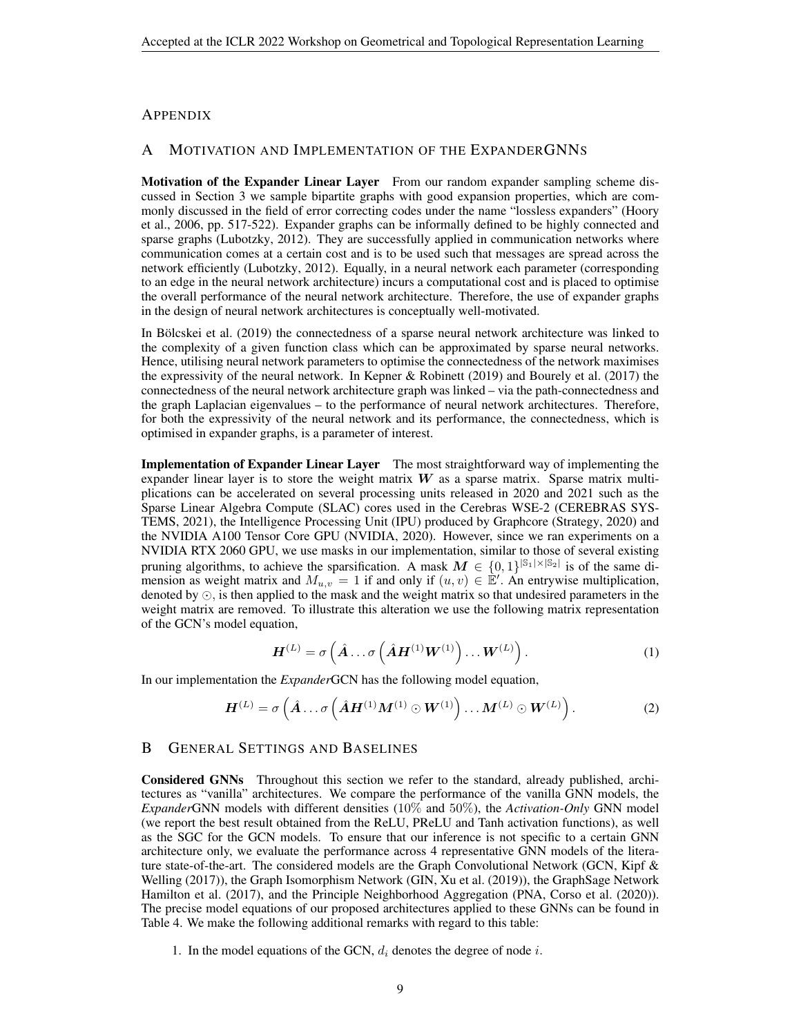#### **APPENDIX**

# <span id="page-8-0"></span>A MOTIVATION AND IMPLEMENTATION OF THE EXPANDERGNNS

Motivation of the Expander Linear Layer From our random expander sampling scheme discussed in Section [3](#page-1-0) we sample bipartite graphs with good expansion properties, which are commonly discussed in the field of error correcting codes under the name "lossless expanders" [\(Hoory](#page-5-9) [et al., 2006,](#page-5-9) pp. 517-522). Expander graphs can be informally defined to be highly connected and sparse graphs [\(Lubotzky, 2012\)](#page-6-9). They are successfully applied in communication networks where communication comes at a certain cost and is to be used such that messages are spread across the network efficiently [\(Lubotzky, 2012\)](#page-6-9). Equally, in a neural network each parameter (corresponding to an edge in the neural network architecture) incurs a computational cost and is placed to optimise the overall performance of the neural network architecture. Therefore, the use of expander graphs in the design of neural network architectures is conceptually well-motivated.

In Bölcskei et al.  $(2019)$  the connectedness of a sparse neural network architecture was linked to the complexity of a given function class which can be approximated by sparse neural networks. Hence, utilising neural network parameters to optimise the connectedness of the network maximises the expressivity of the neural network. In [Kepner & Robinett](#page-6-3) [\(2019\)](#page-6-3) and [Bourely et al.](#page-5-11) [\(2017\)](#page-5-11) the connectedness of the neural network architecture graph was linked – via the path-connectedness and the graph Laplacian eigenvalues – to the performance of neural network architectures. Therefore, for both the expressivity of the neural network and its performance, the connectedness, which is optimised in expander graphs, is a parameter of interest.

Implementation of Expander Linear Layer The most straightforward way of implementing the expander linear layer is to store the weight matrix  $W$  as a sparse matrix. Sparse matrix multiplications can be accelerated on several processing units released in 2020 and 2021 such as the Sparse Linear Algebra Compute (SLAC) cores used in the Cerebras WSE-2 [\(CEREBRAS SYS-](#page-5-12)[TEMS, 2021\)](#page-5-12), the Intelligence Processing Unit (IPU) produced by Graphcore [\(Strategy, 2020\)](#page-6-10) and the NVIDIA A100 Tensor Core GPU [\(NVIDIA, 2020\)](#page-6-11). However, since we ran experiments on a NVIDIA RTX 2060 GPU, we use masks in our implementation, similar to those of several existing pruning algorithms, to achieve the sparsification. A mask  $M \in \{0,1\}^{|S_1| \times |S_2|}$  is of the same dimension as weight matrix and  $M_{u,v} = 1$  if and only if  $(u, v) \in \mathbb{E}'$ . An entrywise multiplication, denoted by  $\odot$ , is then applied to the mask and the weight matrix so that undesired parameters in the weight matrix are removed. To illustrate this alteration we use the following matrix representation of the GCN's model equation,

$$
\boldsymbol{H}^{(L)} = \sigma\left(\hat{\boldsymbol{A}}\dots\sigma\left(\hat{\boldsymbol{A}}\boldsymbol{H}^{(1)}\boldsymbol{W}^{(1)}\right)\dots\boldsymbol{W}^{(L)}\right). \tag{1}
$$

In our implementation the *Expander*GCN has the following model equation,

$$
\boldsymbol{H}^{(L)} = \sigma\left(\hat{\boldsymbol{A}}\dots\sigma\left(\hat{\boldsymbol{A}}\boldsymbol{H}^{(1)}\boldsymbol{M}^{(1)}\odot\boldsymbol{W}^{(1)}\right)\dots\boldsymbol{M}^{(L)}\odot\boldsymbol{W}^{(L)}\right).
$$
 (2)

### <span id="page-8-1"></span>B GENERAL SETTINGS AND BASELINES

Considered GNNs Throughout this section we refer to the standard, already published, architectures as "vanilla" architectures. We compare the performance of the vanilla GNN models, the *Expander*GNN models with different densities (10% and 50%), the *Activation-Only* GNN model (we report the best result obtained from the ReLU, PReLU and Tanh activation functions), as well as the SGC for the GCN models. To ensure that our inference is not specific to a certain GNN architecture only, we evaluate the performance across 4 representative GNN models of the literature state-of-the-art. The considered models are the Graph Convolutional Network (GCN, [Kipf &](#page-6-8) [Welling](#page-6-8) [\(2017\)](#page-6-8)), the Graph Isomorphism Network (GIN, [Xu et al.](#page-7-3) [\(2019\)](#page-7-3)), the GraphSage Network [Hamilton et al.](#page-5-13) [\(2017\)](#page-5-13), and the Principle Neighborhood Aggregation (PNA, [Corso et al.](#page-5-14) [\(2020\)](#page-5-14)). The precise model equations of our proposed architectures applied to these GNNs can be found in Table [4.](#page-9-0) We make the following additional remarks with regard to this table:

1. In the model equations of the GCN,  $d_i$  denotes the degree of node i.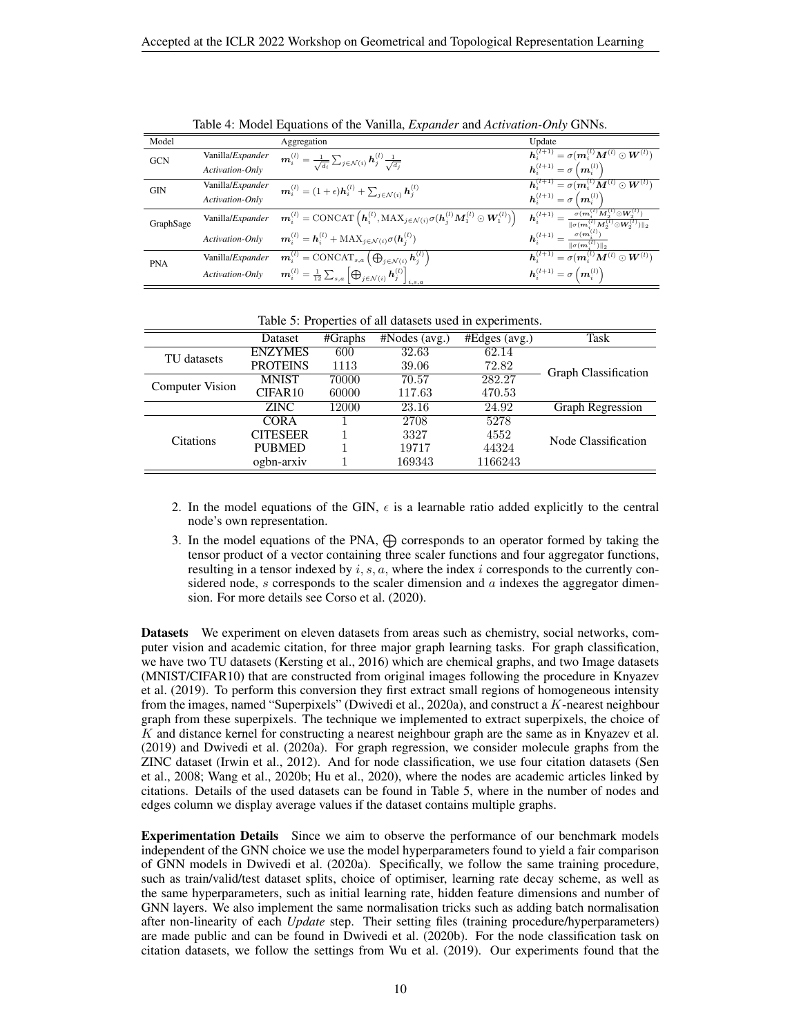| Model      |                          | Aggregation                                                                                                                                                                                    | Update                                                                                                                                                         |
|------------|--------------------------|------------------------------------------------------------------------------------------------------------------------------------------------------------------------------------------------|----------------------------------------------------------------------------------------------------------------------------------------------------------------|
| <b>GCN</b> | Vanilla/ <i>Expander</i> | $\boldsymbol{m}_i^{(l)} = \frac{1}{\sqrt{d_i}} \sum_{j \in \mathcal{N}(i)} \boldsymbol{h}_j^{(l)} \frac{1}{\sqrt{d_j}}$                                                                        | $\bm{h}_i^{(l+1)} = \sigma(\bm{m}_i^{(l)}\bm{M}^{(l)} \odot \bm{W}^{(l)})$                                                                                     |
|            | Activation-Only          |                                                                                                                                                                                                | $h_i^{(l+1)} = \sigma(m_i^{(l)})$                                                                                                                              |
| <b>GIN</b> | Vanilla/ <i>Expander</i> | $\mathbf{m}_i^{(l)} = (1+\epsilon)\mathbf{h}_i^{(l)} + \sum_{i \in \mathcal{N}(i)} \mathbf{h}_i^{(l)}$                                                                                         | $\boldsymbol{h}_i^{(l+1)} = \sigma(\boldsymbol{m}_i^{(l)}\boldsymbol{M}^{(l)} \odot \boldsymbol{W}^{(l)})$                                                     |
|            | Activation-Only          |                                                                                                                                                                                                | $\mathbf{h}_{i}^{(l+1)} = \sigma\left(\mathbf{m}_{i}^{(l)}\right)$                                                                                             |
| GraphSage  |                          | Vanilla/Expander $\mathbf{m}_i^{(l)} = \text{CONCAT}\left(\mathbf{h}_i^{(l)}, \text{MAX}_{j \in \mathcal{N}(i)} \sigma(\mathbf{h}_j^{(l)} \mathbf{M}_1^{(l)} \odot \mathbf{W}_1^{(l)})\right)$ | $\boxed{\bm{h}_i^{(l+1)} = \frac{\sigma(\bm{m}_i^{(l)}\bm{M}_2^{(l)} \odot \bm{W}_2^{(l)})}{\ \sigma(\bm{m}_i^{(l)}\bm{M}_2^{(l)} \odot \bm{W}_2^{(l)})\ _2}}$ |
|            |                          | Activation-Only $\mathbf{m}_i^{(l)} = \mathbf{h}_i^{(l)} + \text{MAX}_{i \in \mathcal{N}(i)} \sigma(\mathbf{h}_i^{(l)})$                                                                       | $\bm{h}_i^{(l+1)} = \frac{\sigma(\bm{m}_i^{(l)})}{\ \sigma(\bm{m}_i^{(l)})\ _2}$                                                                               |
| <b>PNA</b> |                          | Vanilla/Expander $\mathbf{m}_i^{(l)} = \text{CONCAT}_{s,a} \left( \bigoplus_{j \in \mathcal{N}(i)} \mathbf{h}_j^{(l)} \right)$                                                                 | $\bm{h}^{(l+1)}_i = \sigma(\bm{m}^{(l)}_i \bm{M}^{(l)} \odot \bm{W}^{(l)})$                                                                                    |
|            |                          | Activation-Only $\mathbf{m}_i^{(l)} = \frac{1}{12} \sum_{s,a} \left[ \bigoplus_{j \in \mathcal{N}(i)} \mathbf{h}_j^{(l)} \right]_{i,s,a}$                                                      | $\bm{h}_i^{(l+1)} = \sigma\left(\bm{m}_i^{(l)}\right)$                                                                                                         |

<span id="page-9-0"></span>Table 4: Model Equations of the Vanilla, *Expander* and *Activation-Only* GNNs.

<span id="page-9-1"></span>Table 5: Properties of all datasets used in experiments.

|                        | Dataset             | #Graphs | $\overline{\text{HNodes}}$ (avg.) | $#Edges$ (avg.) | Task                        |
|------------------------|---------------------|---------|-----------------------------------|-----------------|-----------------------------|
| TU datasets            | <b>ENZYMES</b>      | 600     | 32.63                             | 62.14           |                             |
|                        | <b>PROTEINS</b>     | 1113    | 39.06                             | 72.82           | <b>Graph Classification</b> |
| <b>Computer Vision</b> | <b>MNIST</b>        | 70000   | 70.57                             | 282.27          |                             |
|                        | CIFAR <sub>10</sub> | 60000   | 117.63                            | 470.53          |                             |
|                        | ZINC.               | 12000   | 23.16                             | 24.92           | Graph Regression            |
|                        | CORA                |         | 2708                              | 5278            |                             |
| <b>Citations</b>       | <b>CITESEER</b>     |         | 3327                              | 4552            | Node Classification         |
|                        | <b>PUBMED</b>       |         | 19717                             | 44324           |                             |
|                        | ogbn-arxiv          |         | 169343                            | 1166243         |                             |

- 2. In the model equations of the GIN,  $\epsilon$  is a learnable ratio added explicitly to the central node's own representation.
- 3. In the model equations of the PNA,  $\bigoplus$  corresponds to an operator formed by taking the tensor product of a vector containing three scaler functions and four aggregator functions, resulting in a tensor indexed by  $i, s, a$ , where the index i corresponds to the currently considered node, s corresponds to the scaler dimension and  $\alpha$  indexes the aggregator dimension. For more details see [Corso et al.](#page-5-14) [\(2020\)](#page-5-14).

Datasets We experiment on eleven datasets from areas such as chemistry, social networks, computer vision and academic citation, for three major graph learning tasks. For graph classification, we have two TU datasets [\(Kersting et al., 2016\)](#page-6-12) which are chemical graphs, and two Image datasets (MNIST/CIFAR10) that are constructed from original images following the procedure in [Knyazev](#page-6-13) [et al.](#page-6-13) [\(2019\)](#page-6-13). To perform this conversion they first extract small regions of homogeneous intensity from the images, named "Superpixels" [\(Dwivedi et al., 2020a\)](#page-5-15), and construct a K-nearest neighbour graph from these superpixels. The technique we implemented to extract superpixels, the choice of  $K$  and distance kernel for constructing a nearest neighbour graph are the same as in [Knyazev et al.](#page-6-13) [\(2019\)](#page-6-13) and [Dwivedi et al.](#page-5-15) [\(2020a\)](#page-5-15). For graph regression, we consider molecule graphs from the ZINC dataset [\(Irwin et al., 2012\)](#page-6-14). And for node classification, we use four citation datasets [\(Sen](#page-6-15) [et al., 2008;](#page-6-15) [Wang et al., 2020b;](#page-7-4) [Hu et al., 2020\)](#page-6-16), where the nodes are academic articles linked by citations. Details of the used datasets can be found in Table [5,](#page-9-1) where in the number of nodes and edges column we display average values if the dataset contains multiple graphs.

**Experimentation Details** Since we aim to observe the performance of our benchmark models independent of the GNN choice we use the model hyperparameters found to yield a fair comparison of GNN models in [Dwivedi et al.](#page-5-15) [\(2020a\)](#page-5-15). Specifically, we follow the same training procedure, such as train/valid/test dataset splits, choice of optimiser, learning rate decay scheme, as well as the same hyperparameters, such as initial learning rate, hidden feature dimensions and number of GNN layers. We also implement the same normalisation tricks such as adding batch normalisation after non-linearity of each *Update* step. Their setting files (training procedure/hyperparameters) are made public and can be found in [Dwivedi et al.](#page-5-16) [\(2020b\)](#page-5-16). For the node classification task on citation datasets, we follow the settings from [Wu et al.](#page-7-2) [\(2019\)](#page-7-2). Our experiments found that the